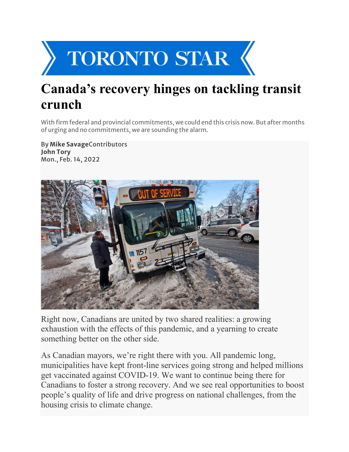

## **Canada's recovery hinges on tackling transit crunch**

With firm federal and provincial commitments, we could end this crisis now. But after months of urging and no commitments, we are sounding the alarm.

By **Mike Savage**Contributors **John Tory** Mon., Feb. 14, 2022



Right now, Canadians are united by two shared realities: a growing exhaustion with the effects of this pandemic, and a yearning to create something better on the other side.

As Canadian mayors, we're right there with you. All pandemic long, municipalities have kept front-line services going strong and helped millions get vaccinated against COVID-19. We want to continue being there for Canadians to foster a strong recovery. And we see real opportunities to boost people's quality of life and drive progress on national challenges, from the housing crisis to climate change.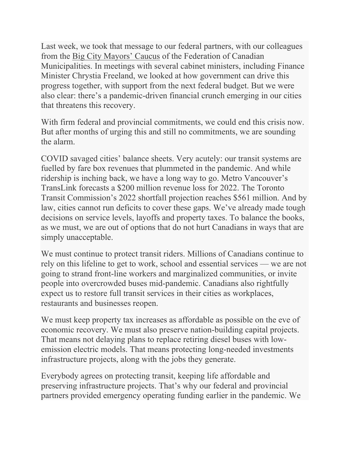Last week, we took that message to our federal partners, with our colleagues from the [Big City Mayors' Caucus](https://fcm.ca/en/about-fcm/big-city-mayors-caucus) of the Federation of Canadian Municipalities. In meetings with several cabinet ministers, including Finance Minister Chrystia Freeland, we looked at how government can drive this progress together, with support from the next federal budget. But we were also clear: there's a pandemic-driven financial crunch emerging in our cities that threatens this recovery.

With firm federal and provincial commitments, we could end this crisis now. But after months of urging this and still no commitments, we are sounding the alarm.

COVID savaged cities' balance sheets. Very acutely: our transit systems are fuelled by fare box revenues that plummeted in the pandemic. And while ridership is inching back, we have a long way to go. Metro Vancouver's TransLink forecasts a \$200 million revenue loss for 2022. The Toronto Transit Commission's 2022 shortfall projection reaches \$561 million. And by law, cities cannot run deficits to cover these gaps. We've already made tough decisions on service levels, layoffs and property taxes. To balance the books, as we must, we are out of options that do not hurt Canadians in ways that are simply unacceptable.

We must continue to protect transit riders. Millions of Canadians continue to rely on this lifeline to get to work, school and essential services — we are not going to strand front-line workers and marginalized communities, or invite people into overcrowded buses mid-pandemic. Canadians also rightfully expect us to restore full transit services in their cities as workplaces, restaurants and businesses reopen.

We must keep property tax increases as affordable as possible on the eve of economic recovery. We must also preserve nation-building capital projects. That means not delaying plans to replace retiring diesel buses with lowemission electric models. That means protecting long-needed investments infrastructure projects, along with the jobs they generate.

Everybody agrees on protecting transit, keeping life affordable and preserving infrastructure projects. That's why our federal and provincial partners provided emergency operating funding earlier in the pandemic. We